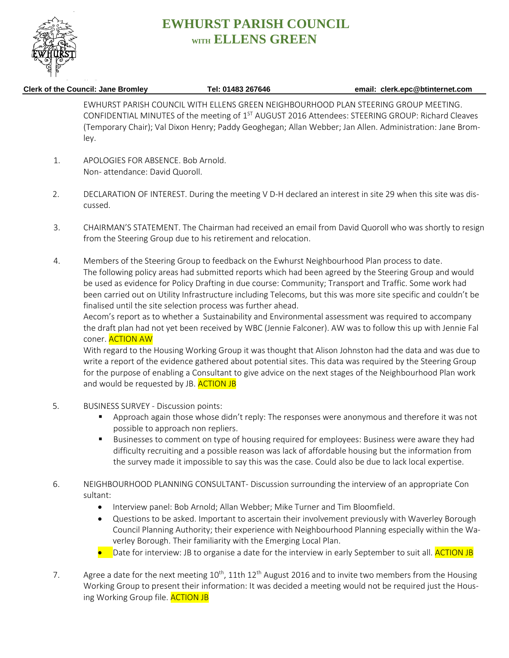

## **EWHURST PARISH COUNCIL WITH ELLENS GREEN**

## **Clerk of the Council: Jane Bromley Tel: 01483 267646 email: clerk.epc@btinternet.com**

EWHURST PARISH COUNCIL WITH ELLENS GREEN NEIGHBOURHOOD PLAN STEERING GROUP MEETING. CONFIDENTIAL MINUTES of the meeting of  $1<sup>ST</sup>$  AUGUST 2016 Attendees: STEERING GROUP: Richard Cleaves (Temporary Chair); Val Dixon Henry; Paddy Geoghegan; Allan Webber; Jan Allen. Administration: Jane Bromley.

- 1. APOLOGIES FOR ABSENCE. Bob Arnold. Non- attendance: David Quoroll.
- 2. DECLARATION OF INTEREST. During the meeting V D-H declared an interest in site 29 when this site was discussed.
- 3. CHAIRMAN'S STATEMENT. The Chairman had received an email from David Quoroll who was shortly to resign from the Steering Group due to his retirement and relocation.
- 4. Members of the Steering Group to feedback on the Ewhurst Neighbourhood Plan process to date. The following policy areas had submitted reports which had been agreed by the Steering Group and would be used as evidence for Policy Drafting in due course: Community; Transport and Traffic. Some work had been carried out on Utility Infrastructure including Telecoms, but this was more site specific and couldn't be finalised until the site selection process was further ahead.

Aecom's report as to whether a Sustainability and Environmental assessment was required to accompany the draft plan had not yet been received by WBC (Jennie Falconer). AW was to follow this up with Jennie Fal coner. ACTION AW

With regard to the Housing Working Group it was thought that Alison Johnston had the data and was due to write a report of the evidence gathered about potential sites. This data was required by the Steering Group for the purpose of enabling a Consultant to give advice on the next stages of the Neighbourhood Plan work and would be requested by JB. **ACTION JB** 

- 5. BUSINESS SURVEY Discussion points:
	- Approach again those whose didn't reply: The responses were anonymous and therefore it was not possible to approach non repliers.
	- **Businesses to comment on type of housing required for employees: Business were aware they had** difficulty recruiting and a possible reason was lack of affordable housing but the information from the survey made it impossible to say this was the case. Could also be due to lack local expertise.
- 6. NEIGHBOURHOOD PLANNING CONSULTANT- Discussion surrounding the interview of an appropriate Con sultant:
	- Interview panel: Bob Arnold; Allan Webber; Mike Turner and Tim Bloomfield.
	- Questions to be asked. Important to ascertain their involvement previously with Waverley Borough Council Planning Authority; their experience with Neighbourhood Planning especially within the Waverley Borough. Their familiarity with the Emerging Local Plan.
	- Date for interview: JB to organise a date for the interview in early September to suit all. **ACTION JB**
- 7. Agree a date for the next meeting  $10^{th}$ , 11th  $12^{th}$  August 2016 and to invite two members from the Housing Working Group to present their information: It was decided a meeting would not be required just the Housing Working Group file. **ACTION JB**